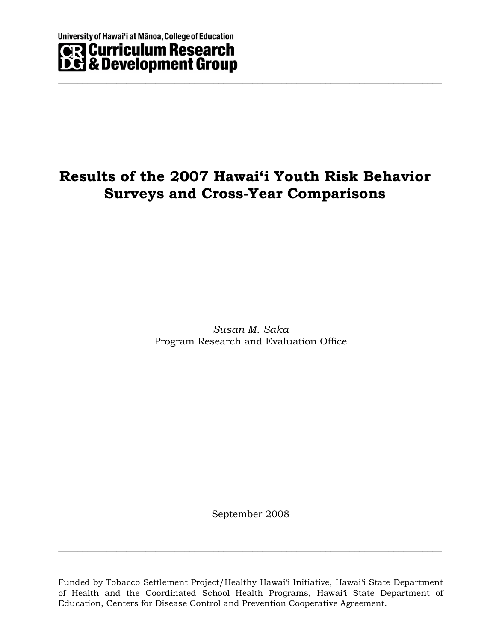# **Results of the 2007 Hawai'i Youth Risk Behavior Surveys and Cross-Year Comparisons**

 $\_$  , and the set of the set of the set of the set of the set of the set of the set of the set of the set of the set of the set of the set of the set of the set of the set of the set of the set of the set of the set of th

*Susan M. Saka* Program Research and Evaluation Office

September 2008

 $\_$  , and the set of the set of the set of the set of the set of the set of the set of the set of the set of the set of the set of the set of the set of the set of the set of the set of the set of the set of the set of th

Funded by Tobacco Settlement Project/Healthy Hawai'i Initiative, Hawai'i State Department of Health and the Coordinated School Health Programs, Hawai'i State Department of Education, Centers for Disease Control and Prevention Cooperative Agreement.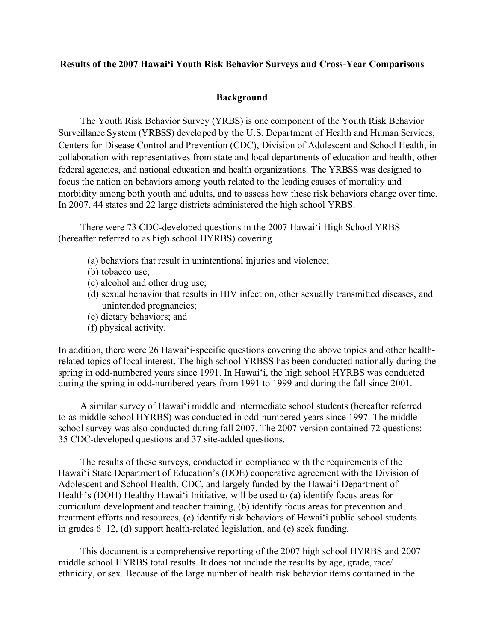## **Results of the 2007 Hawai'i Youth Risk Behavior Surveys and Cross-Year Comparisons**

## **Background**

The Youth Risk Behavior Survey (YRBS) is one component of the Youth Risk Behavior Surveillance System (YRBSS) developed by the U.S. Department of Health and Human Services, Centers for Disease Control and Prevention (CDC), Division of Adolescent and School Health, in collaboration with representatives from state and local departments of education and health, other federal agencies, and national education and health organizations. The YRBSS was designed to focus the nation on behaviors among youth related to the leading causes of mortality and morbidity among both youth and adults, and to assess how these risk behaviors change over time. In 2007, 44 states and 22 large districts administered the high school YRBS.

There were 73 CDC-developed questions in the 2007 Hawai'i High School YRBS (hereafter referred to as high school HYRBS) covering

- (a) behaviors that result in unintentional injuries and violence;
- (b) tobacco use;
- (c) alcohol and other drug use;
- (d) sexual behavior that results in HIV infection, other sexually transmitted diseases, and unintended pregnancies;
- (e) dietary behaviors; and
- (f) physical activity.

In addition, there were 26 Hawai'i-specific questions covering the above topics and other healthrelated topics of local interest. The high school YRBSS has been conducted nationally during the spring in odd-numbered years since 1991. In Hawai'i, the high school HYRBS was conducted during the spring in odd-numbered years from 1991 to 1999 and during the fall since 2001.

A similar survey of Hawai'i middle and intermediate school students (hereafter referred to as middle school HYRBS) was conducted in odd-numbered years since 1997. The middle school survey was also conducted during fall 2007. The 2007 version contained 72 questions: 35 CDC-developed questions and 37 site-added questions.

The results of these surveys, conducted in compliance with the requirements of the Hawai'i State Department of Education's (DOE) cooperative agreement with the Division of Adolescent and School Health, CDC, and largely funded by the Hawai'i Department of Health's (DOH) Healthy Hawai'i Initiative, will be used to (a) identify focus areas for curriculum development and teacher training, (b) identify focus areas for prevention and treatment efforts and resources, (c) identify risk behaviors of Hawai'i public school students in grades 6–12, (d) support health-related legislation, and (e) seek funding.

This document is a comprehensive reporting of the 2007 high school HYRBS and 2007 middle school HYRBS total results. It does not include the results by age, grade, race/ ethnicity, or sex. Because of the large number of health risk behavior items contained in the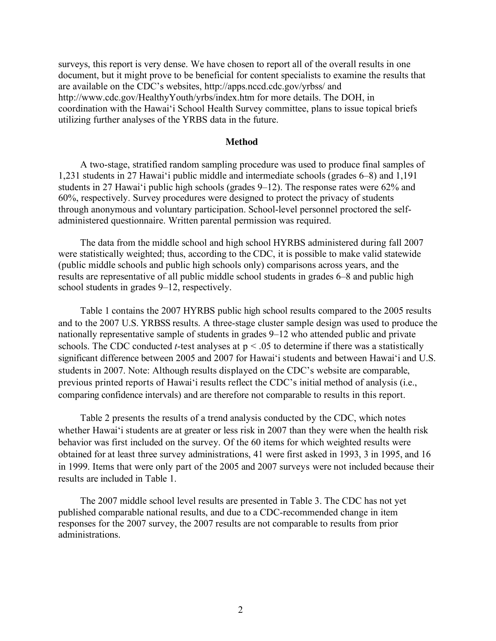surveys, this report is very dense. We have chosen to report all of the overall results in one document, but it might prove to be beneficial for content specialists to examine the results that are available on the CDC's websites, http://apps.nccd.cdc.gov/yrbss/ and http://www.cdc.gov/HealthyYouth/yrbs/index.htm for more details. The DOH, in coordination with the Hawai'i School Health Survey committee, plans to issue topical briefs utilizing further analyses of the YRBS data in the future.

### **Method**

A two-stage, stratified random sampling procedure was used to produce final samples of 1,231 students in 27 Hawai'i public middle and intermediate schools (grades 6–8) and 1,191 students in 27 Hawai'i public high schools (grades 9–12). The response rates were 62% and 60%, respectively. Survey procedures were designed to protect the privacy of students through anonymous and voluntary participation. School-level personnel proctored the selfadministered questionnaire. Written parental permission was required.

The data from the middle school and high school HYRBS administered during fall 2007 were statistically weighted; thus, according to the CDC, it is possible to make valid statewide (public middle schools and public high schools only) comparisons across years, and the results are representative of all public middle school students in grades 6–8 and public high school students in grades 9–12, respectively.

Table 1 contains the 2007 HYRBS public high school results compared to the 2005 results and to the 2007 U.S. YRBSS results. A three-stage cluster sample design was used to produce the nationally representative sample of students in grades 9–12 who attended public and private schools. The CDC conducted *t*-test analyses at p < .05 to determine if there was a statistically significant difference between 2005 and 2007 for Hawai'i students and between Hawai'i and U.S. students in 2007. Note: Although results displayed on the CDC's website are comparable, previous printed reports of Hawai'i results reflect the CDC's initial method of analysis (i.e., comparing confidence intervals) and are therefore not comparable to results in this report.

Table 2 presents the results of a trend analysis conducted by the CDC, which notes whether Hawai'i students are at greater or less risk in 2007 than they were when the health risk behavior was first included on the survey. Of the 60 items for which weighted results were obtained for at least three survey administrations, 41 were first asked in 1993, 3 in 1995, and 16 in 1999. Items that were only part of the 2005 and 2007 surveys were not included because their results are included in Table 1.

The 2007 middle school level results are presented in Table 3. The CDC has not yet published comparable national results, and due to a CDC-recommended change in item responses for the 2007 survey, the 2007 results are not comparable to results from prior administrations.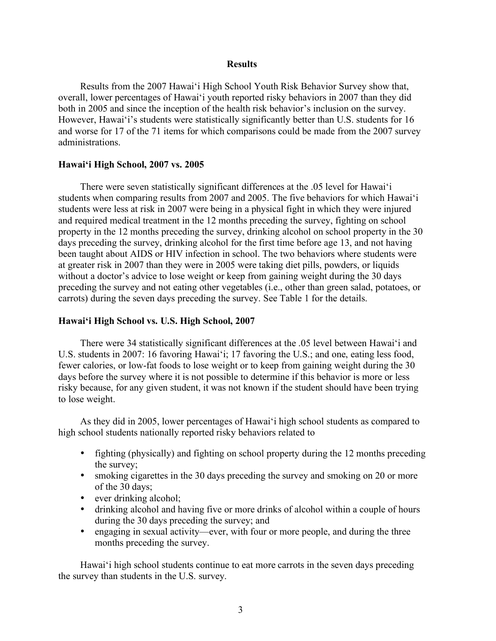#### **Results**

Results from the 2007 Hawai'i High School Youth Risk Behavior Survey show that, overall, lower percentages of Hawai'i youth reported risky behaviors in 2007 than they did both in 2005 and since the inception of the health risk behavior's inclusion on the survey. However, Hawai'i's students were statistically significantly better than U.S. students for 16 and worse for 17 of the 71 items for which comparisons could be made from the 2007 survey administrations.

### **Hawai'i High School, 2007 vs. 2005**

There were seven statistically significant differences at the .05 level for Hawai'i students when comparing results from 2007 and 2005. The five behaviors for which Hawai'i students were less at risk in 2007 were being in a physical fight in which they were injured and required medical treatment in the 12 months preceding the survey, fighting on school property in the 12 months preceding the survey, drinking alcohol on school property in the 30 days preceding the survey, drinking alcohol for the first time before age 13, and not having been taught about AIDS or HIV infection in school. The two behaviors where students were at greater risk in 2007 than they were in 2005 were taking diet pills, powders, or liquids without a doctor's advice to lose weight or keep from gaining weight during the 30 days preceding the survey and not eating other vegetables (i.e., other than green salad, potatoes, or carrots) during the seven days preceding the survey. See Table 1 for the details.

### **Hawai'i High School vs. U.S. High School, 2007**

There were 34 statistically significant differences at the .05 level between Hawai'i and U.S. students in 2007: 16 favoring Hawai'i; 17 favoring the U.S.; and one, eating less food, fewer calories, or low-fat foods to lose weight or to keep from gaining weight during the 30 days before the survey where it is not possible to determine if this behavior is more or less risky because, for any given student, it was not known if the student should have been trying to lose weight.

As they did in 2005, lower percentages of Hawai'i high school students as compared to high school students nationally reported risky behaviors related to

- fighting (physically) and fighting on school property during the 12 months preceding the survey;
- smoking cigarettes in the 30 days preceding the survey and smoking on 20 or more of the 30 days;
- ever drinking alcohol;
- drinking alcohol and having five or more drinks of alcohol within a couple of hours during the 30 days preceding the survey; and
- engaging in sexual activity—ever, with four or more people, and during the three months preceding the survey.

Hawai'i high school students continue to eat more carrots in the seven days preceding the survey than students in the U.S. survey.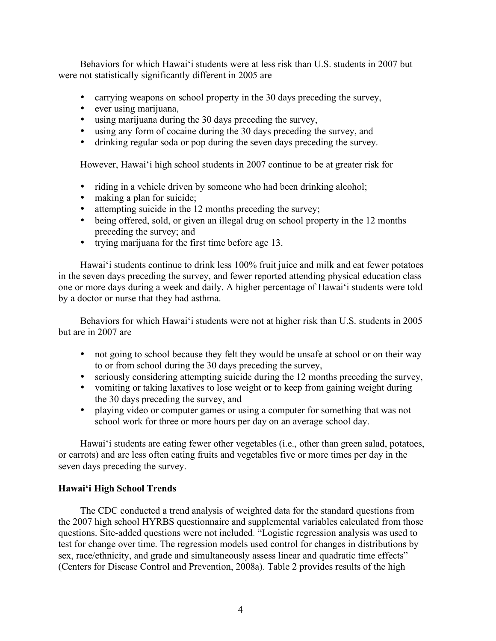Behaviors for which Hawai'i students were at less risk than U.S. students in 2007 but were not statistically significantly different in 2005 are

- carrying weapons on school property in the 30 days preceding the survey,
- ever using marijuana,
- using marijuana during the 30 days preceding the survey,
- using any form of cocaine during the 30 days preceding the survey, and
- drinking regular soda or pop during the seven days preceding the survey.

However, Hawai'i high school students in 2007 continue to be at greater risk for

- riding in a vehicle driven by someone who had been drinking alcohol;
- making a plan for suicide;
- attempting suicide in the 12 months preceding the survey;
- being offered, sold, or given an illegal drug on school property in the 12 months preceding the survey; and
- trying marijuana for the first time before age 13.

Hawai'i students continue to drink less 100% fruit juice and milk and eat fewer potatoes in the seven days preceding the survey, and fewer reported attending physical education class one or more days during a week and daily. A higher percentage of Hawai'i students were told by a doctor or nurse that they had asthma.

Behaviors for which Hawai'i students were not at higher risk than U.S. students in 2005 but are in 2007 are

- not going to school because they felt they would be unsafe at school or on their way to or from school during the 30 days preceding the survey,
- seriously considering attempting suicide during the 12 months preceding the survey,
- vomiting or taking laxatives to lose weight or to keep from gaining weight during the 30 days preceding the survey, and
- playing video or computer games or using a computer for something that was not school work for three or more hours per day on an average school day.

Hawai'i students are eating fewer other vegetables (i.e., other than green salad, potatoes, or carrots) and are less often eating fruits and vegetables five or more times per day in the seven days preceding the survey.

## **Hawai'i High School Trends**

The CDC conducted a trend analysis of weighted data for the standard questions from the 2007 high school HYRBS questionnaire and supplemental variables calculated from those questions. Site-added questions were not included. "Logistic regression analysis was used to test for change over time. The regression models used control for changes in distributions by sex, race/ethnicity, and grade and simultaneously assess linear and quadratic time effects" (Centers for Disease Control and Prevention, 2008a). Table 2 provides results of the high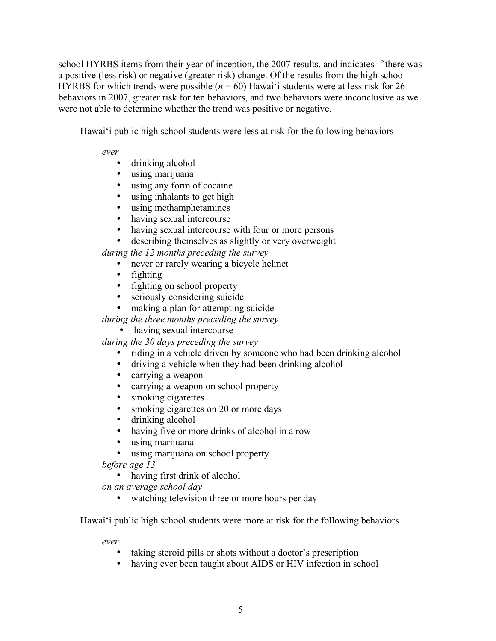school HYRBS items from their year of inception, the 2007 results, and indicates if there was a positive (less risk) or negative (greater risk) change. Of the results from the high school HYRBS for which trends were possible  $(n = 60)$  Hawai'i students were at less risk for 26 behaviors in 2007, greater risk for ten behaviors, and two behaviors were inconclusive as we were not able to determine whether the trend was positive or negative.

Hawai'i public high school students were less at risk for the following behaviors

*ever*

- drinking alcohol
- using marijuana
- using any form of cocaine<br>• using inhalants to get high
- using inhalants to get high
- using methamphetamines<br>• having sexual intercourse
- having sexual intercourse
- having sexual intercourse with four or more persons
- describing themselves as slightly or very overweight

*during the 12 months preceding the survey*

- never or rarely wearing a bicycle helmet
- fighting
- fighting on school property
- seriously considering suicide
- making a plan for attempting suicide
- *during the three months preceding the survey*

# • having sexual intercourse

*during the 30 days preceding the survey*

- riding in a vehicle driven by someone who had been drinking alcohol<br>• driving a vehicle when they had been drinking alcohol
- driving a vehicle when they had been drinking alcohol
- carrying a weapon
- carrying a weapon on school property
- smoking cigarettes
- smoking cigarettes on 20 or more days
- drinking alcohol
- having five or more drinks of alcohol in a row<br>• using marijuana
- using marijuana
- using marijuana on school property

*before age 13*

• having first drink of alcohol

*on an average school day*

• watching television three or more hours per day

Hawai'i public high school students were more at risk for the following behaviors

*ever*

- taking steroid pills or shots without a doctor's prescription
- having ever been taught about AIDS or HIV infection in school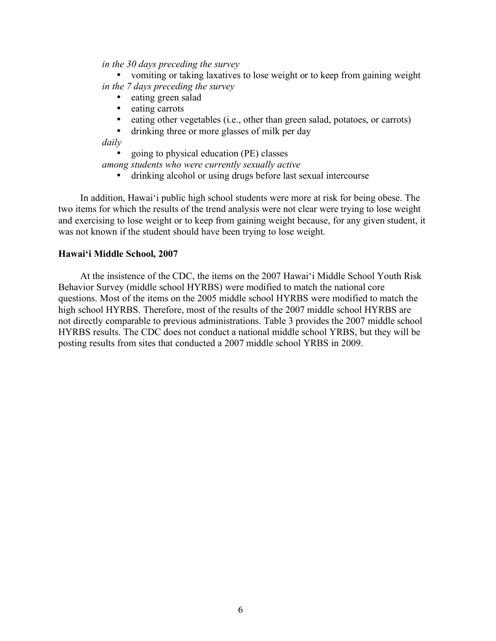### *in the 30 days preceding the survey*

• vomiting or taking laxatives to lose weight or to keep from gaining weight *in the 7 days preceding the survey*

- eating green salad
- eating carrots<br>• eating other vo
- eating other vegetables (i.e., other than green salad, potatoes, or carrots)
- drinking three or more glasses of milk per day

*daily*

• going to physical education (PE) classes

*among students who were currently sexually active*

• drinking alcohol or using drugs before last sexual intercourse

In addition, Hawai'i public high school students were more at risk for being obese. The two items for which the results of the trend analysis were not clear were trying to lose weight and exercising to lose weight or to keep from gaining weight because, for any given student, it was not known if the student should have been trying to lose weight.

## **Hawai'i Middle School, 2007**

At the insistence of the CDC, the items on the 2007 Hawai'i Middle School Youth Risk Behavior Survey (middle school HYRBS) were modified to match the national core questions. Most of the items on the 2005 middle school HYRBS were modified to match the high school HYRBS. Therefore, most of the results of the 2007 middle school HYRBS are not directly comparable to previous administrations. Table 3 provides the 2007 middle school HYRBS results. The CDC does not conduct a national middle school YRBS, but they will be posting results from sites that conducted a 2007 middle school YRBS in 2009.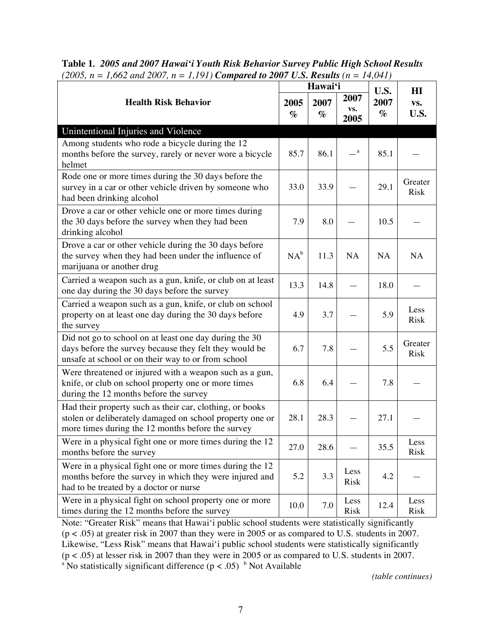| <b>Health Risk Behavior</b><br>2005<br>$\%$                                                                                                                               |        | Hawai'i      |                     |                      | H I                    |
|---------------------------------------------------------------------------------------------------------------------------------------------------------------------------|--------|--------------|---------------------|----------------------|------------------------|
|                                                                                                                                                                           |        | 2007<br>$\%$ | 2007<br>VS.<br>2005 | U.S.<br>2007<br>$\%$ | VS.<br><b>U.S.</b>     |
| Unintentional Injuries and Violence                                                                                                                                       |        |              |                     |                      |                        |
| Among students who rode a bicycle during the 12<br>months before the survey, rarely or never wore a bicycle<br>helmet                                                     | 85.7   | 86.1         | $\mathbf{a}$        | 85.1                 |                        |
| Rode one or more times during the 30 days before the<br>survey in a car or other vehicle driven by someone who<br>had been drinking alcohol                               | 33.0   | 33.9         |                     | 29.1                 | Greater<br><b>Risk</b> |
| Drove a car or other vehicle one or more times during<br>the 30 days before the survey when they had been<br>drinking alcohol                                             | 7.9    | 8.0          |                     | 10.5                 |                        |
| Drove a car or other vehicle during the 30 days before<br>the survey when they had been under the influence of<br>marijuana or another drug                               | $NA^b$ | 11.3         | <b>NA</b>           | NA                   | NA                     |
| Carried a weapon such as a gun, knife, or club on at least<br>one day during the 30 days before the survey                                                                | 13.3   | 14.8         |                     | 18.0                 |                        |
| Carried a weapon such as a gun, knife, or club on school<br>property on at least one day during the 30 days before<br>the survey                                          | 4.9    | 3.7          |                     | 5.9                  | Less<br><b>Risk</b>    |
| Did not go to school on at least one day during the 30<br>days before the survey because they felt they would be<br>unsafe at school or on their way to or from school    | 6.7    | 7.8          |                     | 5.5                  | Greater<br><b>Risk</b> |
| Were threatened or injured with a weapon such as a gun,<br>knife, or club on school property one or more times<br>during the 12 months before the survey                  | 6.8    | 6.4          |                     | 7.8                  |                        |
| Had their property such as their car, clothing, or books<br>stolen or deliberately damaged on school property one or<br>more times during the 12 months before the survey | 28.1   | 28.3         |                     | 27.1                 |                        |
| Were in a physical fight one or more times during the 12<br>months before the survey                                                                                      | 27.0   | 28.6         |                     | 35.5                 | Less<br>Risk           |
| Were in a physical fight one or more times during the 12<br>months before the survey in which they were injured and<br>had to be treated by a doctor or nurse             | 5.2    | 3.3          | Less<br><b>Risk</b> | 4.2                  |                        |
| Were in a physical fight on school property one or more<br>times during the 12 months before the survey                                                                   | 10.0   | 7.0          | Less<br>Risk        | 12.4                 | Less<br>Risk           |

**Table 1***. 2005 and 2007 Hawai'i Youth Risk Behavior Survey Public High School Results (2005, n = 1,662 and 2007, n = 1,191) Compared to 2007 U.S. Results (n = 14,041)*

Note: "Greater Risk" means that Hawai'i public school students were statistically significantly (p < .05) at greater risk in 2007 than they were in 2005 or as compared to U.S. students in 2007. Likewise, "Less Risk" means that Hawai'i public school students were statistically significantly (p < .05) at lesser risk in 2007 than they were in 2005 or as compared to U.S. students in 2007. <sup>a</sup> No statistically significant difference ( $p < .05$ ) <sup>b</sup> Not Available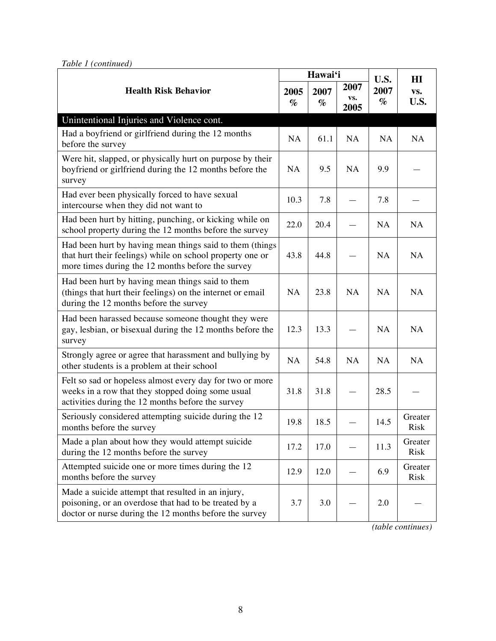| <b>Health Risk Behavior</b>                                                                                                                                                |      | Hawai'i      |                     |                      | H I                    |
|----------------------------------------------------------------------------------------------------------------------------------------------------------------------------|------|--------------|---------------------|----------------------|------------------------|
|                                                                                                                                                                            |      | 2007<br>$\%$ | 2007<br>VS.<br>2005 | U.S.<br>2007<br>$\%$ | VS.<br><b>U.S.</b>     |
| Unintentional Injuries and Violence cont.                                                                                                                                  |      |              |                     |                      |                        |
| Had a boyfriend or girlfriend during the 12 months<br>before the survey                                                                                                    | NA   | 61.1         | NA                  | NA                   | NA                     |
| Were hit, slapped, or physically hurt on purpose by their<br>boyfriend or girlfriend during the 12 months before the<br>survey                                             | NA   | 9.5          | NA                  | 9.9                  |                        |
| Had ever been physically forced to have sexual<br>intercourse when they did not want to                                                                                    | 10.3 | 7.8          |                     | 7.8                  |                        |
| Had been hurt by hitting, punching, or kicking while on<br>school property during the 12 months before the survey                                                          | 22.0 | 20.4         |                     | NA                   | NA                     |
| Had been hurt by having mean things said to them (things<br>that hurt their feelings) while on school property one or<br>more times during the 12 months before the survey | 43.8 | 44.8         |                     | <b>NA</b>            | NA                     |
| Had been hurt by having mean things said to them<br>(things that hurt their feelings) on the internet or email<br>during the 12 months before the survey                   | NA   | 23.8         | NA                  | NA                   | NA                     |
| Had been harassed because someone thought they were<br>gay, lesbian, or bisexual during the 12 months before the<br>survey                                                 | 12.3 | 13.3         |                     | NA                   | <b>NA</b>              |
| Strongly agree or agree that harassment and bullying by<br>other students is a problem at their school                                                                     | NA   | 54.8         | NA                  | NA                   | NA                     |
| Felt so sad or hopeless almost every day for two or more<br>weeks in a row that they stopped doing some usual<br>activities during the 12 months before the survey         | 31.8 | 31.8         |                     | 28.5                 |                        |
| Seriously considered attempting suicide during the 12<br>months before the survey                                                                                          | 19.8 | 18.5         |                     | 14.5                 | Greater<br><b>Risk</b> |
| Made a plan about how they would attempt suicide<br>during the 12 months before the survey                                                                                 | 17.2 | 17.0         |                     | 11.3                 | Greater<br>Risk        |
| Attempted suicide one or more times during the 12<br>months before the survey                                                                                              | 12.9 | 12.0         |                     | 6.9                  | Greater<br>Risk        |
| Made a suicide attempt that resulted in an injury,<br>poisoning, or an overdose that had to be treated by a<br>doctor or nurse during the 12 months before the survey      | 3.7  | 3.0          |                     | 2.0                  |                        |

*Table 1 (continued)*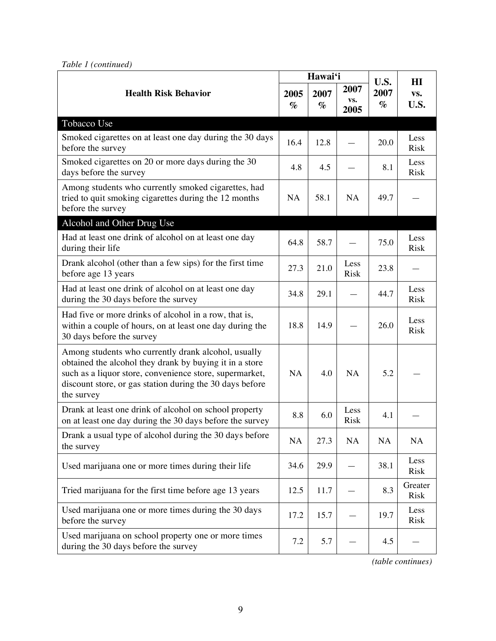| <b>Health Risk Behavior</b>                                                                                                                                                                                                                         |           | Hawai'i      |                     | U.S.         | HI                  |
|-----------------------------------------------------------------------------------------------------------------------------------------------------------------------------------------------------------------------------------------------------|-----------|--------------|---------------------|--------------|---------------------|
|                                                                                                                                                                                                                                                     |           | 2007<br>$\%$ | 2007<br>VS.<br>2005 | 2007<br>$\%$ | VS.<br>U.S.         |
| Tobacco Use                                                                                                                                                                                                                                         |           |              |                     |              |                     |
| Smoked cigarettes on at least one day during the 30 days<br>before the survey                                                                                                                                                                       | 16.4      | 12.8         |                     | 20.0         | Less<br><b>Risk</b> |
| Smoked cigarettes on 20 or more days during the 30<br>days before the survey                                                                                                                                                                        | 4.8       | 4.5          |                     | 8.1          | Less<br>Risk        |
| Among students who currently smoked cigarettes, had<br>tried to quit smoking cigarettes during the 12 months<br>before the survey                                                                                                                   | NA        | 58.1         | NA                  | 49.7         |                     |
| Alcohol and Other Drug Use                                                                                                                                                                                                                          |           |              |                     |              |                     |
| Had at least one drink of alcohol on at least one day<br>during their life                                                                                                                                                                          | 64.8      | 58.7         |                     | 75.0         | Less<br>Risk        |
| Drank alcohol (other than a few sips) for the first time<br>before age 13 years                                                                                                                                                                     | 27.3      | 21.0         | Less<br><b>Risk</b> | 23.8         |                     |
| Had at least one drink of alcohol on at least one day<br>during the 30 days before the survey                                                                                                                                                       | 34.8      | 29.1         |                     | 44.7         | Less<br><b>Risk</b> |
| Had five or more drinks of alcohol in a row, that is,<br>within a couple of hours, on at least one day during the<br>30 days before the survey                                                                                                      | 18.8      | 14.9         |                     | 26.0         | Less<br><b>Risk</b> |
| Among students who currently drank alcohol, usually<br>obtained the alcohol they drank by buying it in a store<br>such as a liquor store, convenience store, supermarket,<br>discount store, or gas station during the 30 days before<br>the survey | <b>NA</b> | 4.0          | <b>NA</b>           | 5.2          |                     |
| Drank at least one drink of alcohol on school property<br>on at least one day during the 30 days before the survey                                                                                                                                  | 8.8       | 6.0          | Less<br><b>Risk</b> | 4.1          |                     |
| Drank a usual type of alcohol during the 30 days before<br>the survey                                                                                                                                                                               | NA        | 27.3         | <b>NA</b>           | NA           | NA                  |
| Used marijuana one or more times during their life                                                                                                                                                                                                  | 34.6      | 29.9         |                     | 38.1         | Less<br>Risk        |
| Tried marijuana for the first time before age 13 years                                                                                                                                                                                              | 12.5      | 11.7         |                     | 8.3          | Greater<br>Risk     |
| Used marijuana one or more times during the 30 days<br>before the survey                                                                                                                                                                            | 17.2      | 15.7         |                     | 19.7         | Less<br>Risk        |
| Used marijuana on school property one or more times<br>during the 30 days before the survey                                                                                                                                                         | 7.2       | 5.7          |                     | 4.5          |                     |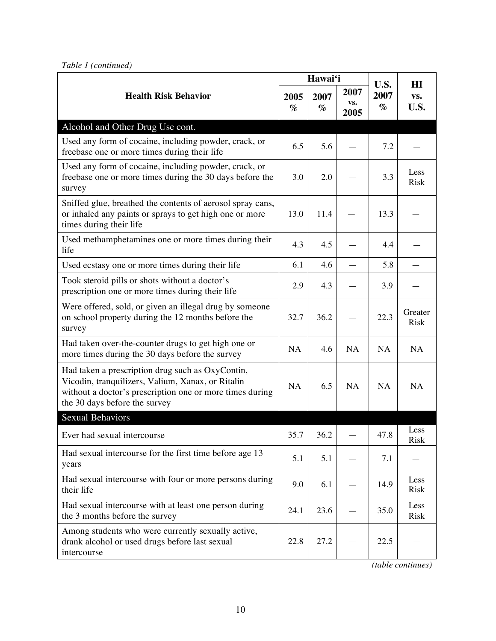| <b>Health Risk Behavior</b>                                                                                                                                                                        |           | Hawai'i      |                     | U.S.         | H I                    |
|----------------------------------------------------------------------------------------------------------------------------------------------------------------------------------------------------|-----------|--------------|---------------------|--------------|------------------------|
|                                                                                                                                                                                                    |           | 2007<br>$\%$ | 2007<br>VS.<br>2005 | 2007<br>$\%$ | VS.<br>U.S.            |
| Alcohol and Other Drug Use cont.                                                                                                                                                                   |           |              |                     |              |                        |
| Used any form of cocaine, including powder, crack, or<br>freebase one or more times during their life                                                                                              | 6.5       | 5.6          |                     | 7.2          |                        |
| Used any form of cocaine, including powder, crack, or<br>freebase one or more times during the 30 days before the<br>survey                                                                        | 3.0       | 2.0          |                     | 3.3          | Less<br><b>Risk</b>    |
| Sniffed glue, breathed the contents of aerosol spray cans,<br>or inhaled any paints or sprays to get high one or more<br>times during their life                                                   | 13.0      | 11.4         |                     | 13.3         |                        |
| Used methamphetamines one or more times during their<br>life                                                                                                                                       | 4.3       | 4.5          |                     | 4.4          |                        |
| Used ecstasy one or more times during their life                                                                                                                                                   | 6.1       | 4.6          |                     | 5.8          |                        |
| Took steroid pills or shots without a doctor's<br>prescription one or more times during their life                                                                                                 | 2.9       | 4.3          |                     | 3.9          |                        |
| Were offered, sold, or given an illegal drug by someone<br>on school property during the 12 months before the<br>survey                                                                            | 32.7      | 36.2         |                     | 22.3         | Greater<br><b>Risk</b> |
| Had taken over-the-counter drugs to get high one or<br>more times during the 30 days before the survey                                                                                             | <b>NA</b> | 4.6          | NA                  | NA           | NA                     |
| Had taken a prescription drug such as OxyContin,<br>Vicodin, tranquilizers, Valium, Xanax, or Ritalin<br>without a doctor's prescription one or more times during<br>the 30 days before the survey | <b>NA</b> | 6.5          | NA                  | NA           | NA                     |
| Sexual Behaviors                                                                                                                                                                                   |           |              |                     |              |                        |
| Ever had sexual intercourse                                                                                                                                                                        | 35.7      | 36.2         |                     | 47.8         | Less<br>Risk           |
| Had sexual intercourse for the first time before age 13<br>years                                                                                                                                   | 5.1       | 5.1          |                     | 7.1          |                        |
| Had sexual intercourse with four or more persons during<br>their life                                                                                                                              | 9.0       | 6.1          |                     | 14.9         | Less<br>Risk           |
| Had sexual intercourse with at least one person during<br>the 3 months before the survey                                                                                                           | 24.1      | 23.6         |                     | 35.0         | Less<br>Risk           |
| Among students who were currently sexually active,<br>drank alcohol or used drugs before last sexual<br>intercourse                                                                                | 22.8      | 27.2         |                     | 22.5         |                        |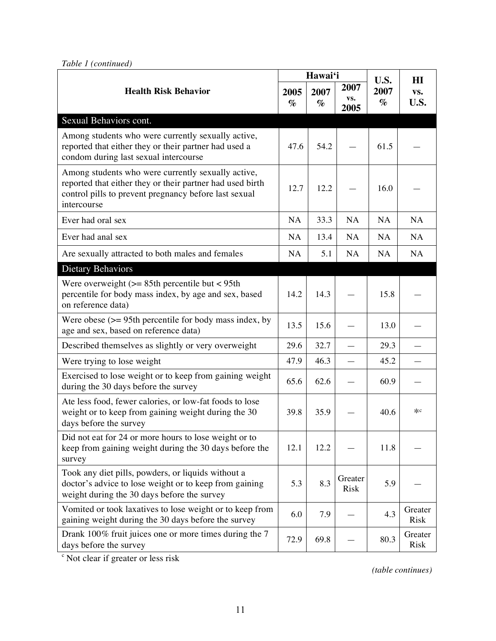*Table 1 (continued)*

|                                                                                                                                                                                         |              | Hawai'i      |                        |                      | H I                    |
|-----------------------------------------------------------------------------------------------------------------------------------------------------------------------------------------|--------------|--------------|------------------------|----------------------|------------------------|
| <b>Health Risk Behavior</b>                                                                                                                                                             | 2005<br>$\%$ | 2007<br>$\%$ | 2007<br>VS.<br>2005    | U.S.<br>2007<br>$\%$ | VS.<br>U.S.            |
| Sexual Behaviors cont.                                                                                                                                                                  |              |              |                        |                      |                        |
| Among students who were currently sexually active,<br>reported that either they or their partner had used a<br>condom during last sexual intercourse                                    | 47.6         | 54.2         |                        | 61.5                 |                        |
| Among students who were currently sexually active,<br>reported that either they or their partner had used birth<br>control pills to prevent pregnancy before last sexual<br>intercourse | 12.7         | 12.2         |                        | 16.0                 |                        |
| Ever had oral sex                                                                                                                                                                       | NA           | 33.3         | NA                     | NA                   | NA                     |
| Ever had anal sex                                                                                                                                                                       | NA           | 13.4         | NA                     | NA                   | NA                     |
| Are sexually attracted to both males and females                                                                                                                                        | NA.          | 5.1          | NA                     | NA                   | NA                     |
| <b>Dietary Behaviors</b>                                                                                                                                                                |              |              |                        |                      |                        |
| Were overweight $(>= 85$ th percentile but < 95th<br>percentile for body mass index, by age and sex, based<br>on reference data)                                                        | 14.2         | 14.3         |                        | 15.8                 |                        |
| Were obese $(>= 95$ th percentile for body mass index, by<br>age and sex, based on reference data)                                                                                      | 13.5         | 15.6         |                        | 13.0                 |                        |
| Described themselves as slightly or very overweight                                                                                                                                     | 29.6         | 32.7         |                        | 29.3                 |                        |
| Were trying to lose weight                                                                                                                                                              | 47.9         | 46.3         |                        | 45.2                 |                        |
| Exercised to lose weight or to keep from gaining weight<br>during the 30 days before the survey                                                                                         | 65.6         | 62.6         |                        | 60.9                 |                        |
| Ate less food, fewer calories, or low-fat foods to lose<br>weight or to keep from gaining weight during the 30<br>days before the survey                                                | 39.8         | 35.9         |                        | 40.6                 | жc                     |
| Did not eat for 24 or more hours to lose weight or to<br>keep from gaining weight during the 30 days before the<br>survey                                                               | 12.1         | 12.2         |                        | 11.8                 |                        |
| Took any diet pills, powders, or liquids without a<br>doctor's advice to lose weight or to keep from gaining<br>weight during the 30 days before the survey                             | 5.3          | 8.3          | Greater<br><b>Risk</b> | 5.9                  |                        |
| Vomited or took laxatives to lose weight or to keep from<br>gaining weight during the 30 days before the survey                                                                         | 6.0          | 7.9          |                        | 4.3                  | Greater<br><b>Risk</b> |
| Drank 100% fruit juices one or more times during the 7<br>days before the survey                                                                                                        | 72.9         | 69.8         |                        | 80.3                 | Greater<br><b>Risk</b> |

<sup>c</sup> Not clear if greater or less risk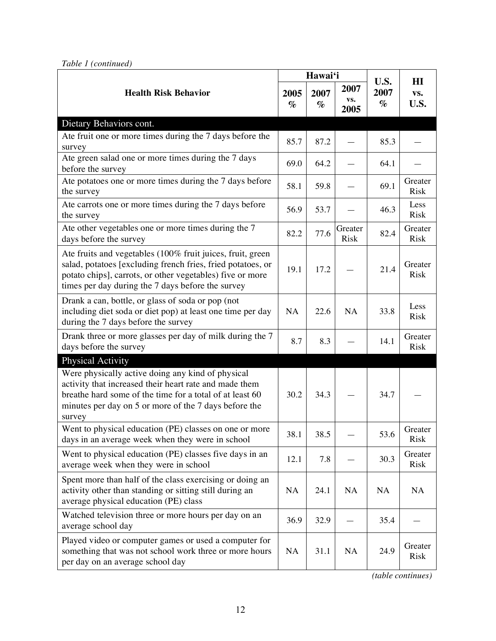| <b>Health Risk Behavior</b>                                                                                                                                                                                                                 |           | Hawai'i      |                        |                      | H I                    |
|---------------------------------------------------------------------------------------------------------------------------------------------------------------------------------------------------------------------------------------------|-----------|--------------|------------------------|----------------------|------------------------|
|                                                                                                                                                                                                                                             |           | 2007<br>$\%$ | 2007<br>VS.<br>2005    | U.S.<br>2007<br>$\%$ | VS.<br>U.S.            |
| Dietary Behaviors cont.                                                                                                                                                                                                                     |           |              |                        |                      |                        |
| Ate fruit one or more times during the 7 days before the<br>survey                                                                                                                                                                          | 85.7      | 87.2         |                        | 85.3                 |                        |
| Ate green salad one or more times during the 7 days<br>before the survey                                                                                                                                                                    | 69.0      | 64.2         |                        | 64.1                 |                        |
| Ate potatoes one or more times during the 7 days before<br>the survey                                                                                                                                                                       | 58.1      | 59.8         |                        | 69.1                 | Greater<br><b>Risk</b> |
| Ate carrots one or more times during the 7 days before<br>the survey                                                                                                                                                                        | 56.9      | 53.7         |                        | 46.3                 | Less<br><b>Risk</b>    |
| Ate other vegetables one or more times during the 7<br>days before the survey                                                                                                                                                               | 82.2      | 77.6         | Greater<br><b>Risk</b> | 82.4                 | Greater<br><b>Risk</b> |
| Ate fruits and vegetables (100% fruit juices, fruit, green<br>salad, potatoes [excluding french fries, fried potatoes, or<br>potato chips], carrots, or other vegetables) five or more<br>times per day during the 7 days before the survey | 19.1      | 17.2         |                        | 21.4                 | Greater<br><b>Risk</b> |
| Drank a can, bottle, or glass of soda or pop (not<br>including diet soda or diet pop) at least one time per day<br>during the 7 days before the survey                                                                                      | NA        | 22.6         | NA                     | 33.8                 | Less<br><b>Risk</b>    |
| Drank three or more glasses per day of milk during the 7<br>days before the survey                                                                                                                                                          | 8.7       | 8.3          |                        | 14.1                 | Greater<br><b>Risk</b> |
| <b>Physical Activity</b>                                                                                                                                                                                                                    |           |              |                        |                      |                        |
| Were physically active doing any kind of physical<br>activity that increased their heart rate and made them<br>breathe hard some of the time for a total of at least 60<br>minutes per day on 5 or more of the 7 days before the<br>survey  | 30.2      | 34.3         |                        | 34.7                 |                        |
| Went to physical education (PE) classes on one or more<br>days in an average week when they were in school                                                                                                                                  | 38.1      | 38.5         |                        | 53.6                 | Greater<br><b>Risk</b> |
| Went to physical education (PE) classes five days in an<br>average week when they were in school                                                                                                                                            | 12.1      | 7.8          |                        | 30.3                 | Greater<br><b>Risk</b> |
| Spent more than half of the class exercising or doing an<br>activity other than standing or sitting still during an<br>average physical education (PE) class                                                                                | NA        | 24.1         | <b>NA</b>              | <b>NA</b>            | <b>NA</b>              |
| Watched television three or more hours per day on an<br>average school day                                                                                                                                                                  | 36.9      | 32.9         |                        | 35.4                 |                        |
| Played video or computer games or used a computer for<br>something that was not school work three or more hours<br>per day on an average school day                                                                                         | <b>NA</b> | 31.1         | <b>NA</b>              | 24.9                 | Greater<br>Risk        |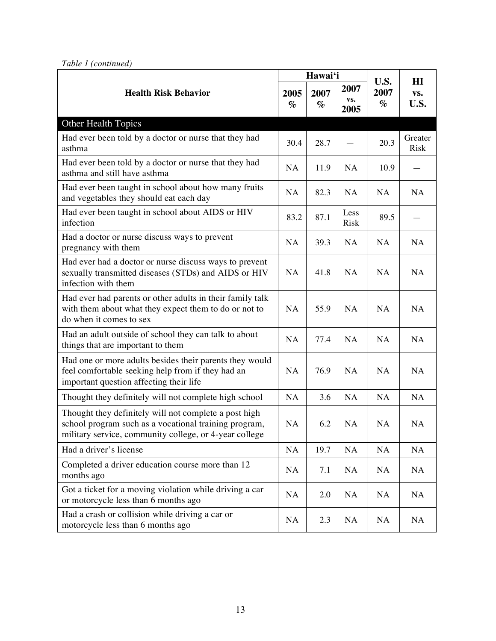|  | Table 1 (continued) |
|--|---------------------|
|--|---------------------|

| <b>Health Risk Behavior</b>                                                                                                                                              |           | Hawai'i      |                     |                      | H I                    |
|--------------------------------------------------------------------------------------------------------------------------------------------------------------------------|-----------|--------------|---------------------|----------------------|------------------------|
|                                                                                                                                                                          |           | 2007<br>$\%$ | 2007<br>VS.<br>2005 | U.S.<br>2007<br>$\%$ | VS.<br>U.S.            |
| Other Health Topics                                                                                                                                                      |           |              |                     |                      |                        |
| Had ever been told by a doctor or nurse that they had<br>asthma                                                                                                          | 30.4      | 28.7         |                     | 20.3                 | Greater<br><b>Risk</b> |
| Had ever been told by a doctor or nurse that they had<br>asthma and still have asthma                                                                                    | NA        | 11.9         | NA                  | 10.9                 |                        |
| Had ever been taught in school about how many fruits<br>and vegetables they should eat each day                                                                          | NA        | 82.3         | NA                  | <b>NA</b>            | <b>NA</b>              |
| Had ever been taught in school about AIDS or HIV<br>infection                                                                                                            | 83.2      | 87.1         | Less<br>Risk        | 89.5                 |                        |
| Had a doctor or nurse discuss ways to prevent<br>pregnancy with them                                                                                                     | NA        | 39.3         | NA                  | NA                   | <b>NA</b>              |
| Had ever had a doctor or nurse discuss ways to prevent<br>sexually transmitted diseases (STDs) and AIDS or HIV<br>infection with them                                    | NA        | 41.8         | NA                  | <b>NA</b>            | <b>NA</b>              |
| Had ever had parents or other adults in their family talk<br>with them about what they expect them to do or not to<br>do when it comes to sex                            | NA        | 55.9         | <b>NA</b>           | <b>NA</b>            | <b>NA</b>              |
| Had an adult outside of school they can talk to about<br>things that are important to them                                                                               | NA        | 77.4         | NA                  | NA                   | NA                     |
| Had one or more adults besides their parents they would<br>feel comfortable seeking help from if they had an<br>important question affecting their life                  | NA        | 76.9         | <b>NA</b>           | <b>NA</b>            | NA                     |
| Thought they definitely will not complete high school                                                                                                                    | NA        | 3.6          | NA                  | NA                   | NA                     |
| Thought they definitely will not complete a post high<br>school program such as a vocational training program,<br>military service, community college, or 4-year college | NA        | 6.2          | NA                  | NA                   | <b>NA</b>              |
| Had a driver's license                                                                                                                                                   | <b>NA</b> | 19.7         | <b>NA</b>           | NA                   | <b>NA</b>              |
| Completed a driver education course more than 12<br>months ago                                                                                                           | <b>NA</b> | 7.1          | <b>NA</b>           | NA                   | <b>NA</b>              |
| Got a ticket for a moving violation while driving a car<br>or motorcycle less than 6 months ago                                                                          | NA        | 2.0          | NA                  | <b>NA</b>            | <b>NA</b>              |
| Had a crash or collision while driving a car or<br>motorcycle less than 6 months ago                                                                                     | <b>NA</b> | 2.3          | <b>NA</b>           | <b>NA</b>            | NA                     |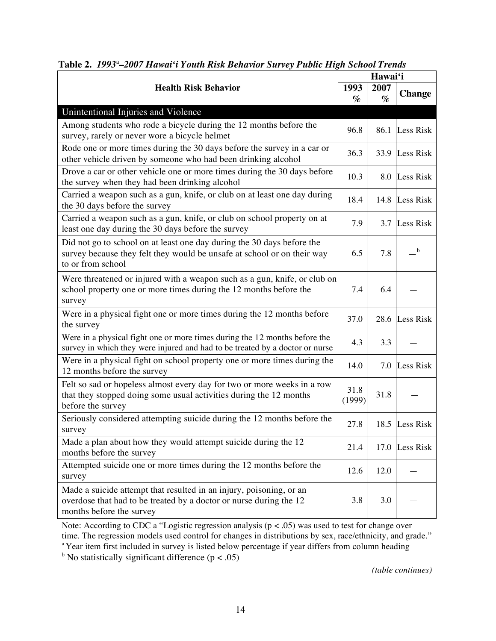| <b>Health Risk Behavior</b>                                                                                                                                            |                | Hawai'i |                                                            |  |
|------------------------------------------------------------------------------------------------------------------------------------------------------------------------|----------------|---------|------------------------------------------------------------|--|
|                                                                                                                                                                        |                | 2007    | <b>Change</b>                                              |  |
|                                                                                                                                                                        | $\%$           | $\%$    |                                                            |  |
| Unintentional Injuries and Violence                                                                                                                                    |                |         |                                                            |  |
| Among students who rode a bicycle during the 12 months before the                                                                                                      |                |         |                                                            |  |
| survey, rarely or never wore a bicycle helmet                                                                                                                          | 96.8           | 86.1    | Less Risk                                                  |  |
| Rode one or more times during the 30 days before the survey in a car or<br>other vehicle driven by someone who had been drinking alcohol                               | 36.3           | 33.9    | Less Risk                                                  |  |
| Drove a car or other vehicle one or more times during the 30 days before<br>the survey when they had been drinking alcohol                                             | 10.3           | 8.0     | Less Risk                                                  |  |
| Carried a weapon such as a gun, knife, or club on at least one day during<br>the 30 days before the survey                                                             | 18.4           | 14.8    | Less Risk                                                  |  |
| Carried a weapon such as a gun, knife, or club on school property on at<br>least one day during the 30 days before the survey                                          | 7.9            | 3.7     | Less Risk                                                  |  |
| Did not go to school on at least one day during the 30 days before the<br>survey because they felt they would be unsafe at school or on their way<br>to or from school | 6.5            | 7.8     | $\mathord{\hspace{1pt}\text{--}\hspace{1pt}}^{\mathrm{b}}$ |  |
| Were threatened or injured with a weapon such as a gun, knife, or club on<br>school property one or more times during the 12 months before the<br>survey               | 7.4            | 6.4     |                                                            |  |
| Were in a physical fight one or more times during the 12 months before<br>the survey                                                                                   | 37.0           | 28.6    | Less Risk                                                  |  |
| Were in a physical fight one or more times during the 12 months before the<br>survey in which they were injured and had to be treated by a doctor or nurse             | 4.3            | 3.3     |                                                            |  |
| Were in a physical fight on school property one or more times during the<br>12 months before the survey                                                                | 14.0           | 7.0     | Less Risk                                                  |  |
| Felt so sad or hopeless almost every day for two or more weeks in a row<br>that they stopped doing some usual activities during the 12 months<br>before the survey     | 31.8<br>(1999) | 31.8    |                                                            |  |
| Seriously considered attempting suicide during the 12 months before the<br>survey                                                                                      | 27.8           | 18.5    | Less Risk                                                  |  |
| Made a plan about how they would attempt suicide during the 12<br>months before the survey                                                                             | 21.4           | 17.0    | Less Risk                                                  |  |
| Attempted suicide one or more times during the 12 months before the<br>survey                                                                                          | 12.6           | 12.0    |                                                            |  |
| Made a suicide attempt that resulted in an injury, poisoning, or an<br>overdose that had to be treated by a doctor or nurse during the 12<br>months before the survey  | 3.8            | 3.0     |                                                            |  |

# **Table 2.** *1993*<sup>a</sup> *–2007 Hawai'i Youth Risk Behavior Survey Public High School Trends*

Note: According to CDC a "Logistic regression analysis (p < .05) was used to test for change over time. The regression models used control for changes in distributions by sex, race/ethnicity, and grade." <sup>a</sup> Year item first included in survey is listed below percentage if year differs from column heading

<sup>b</sup> No statistically significant difference ( $p < .05$ )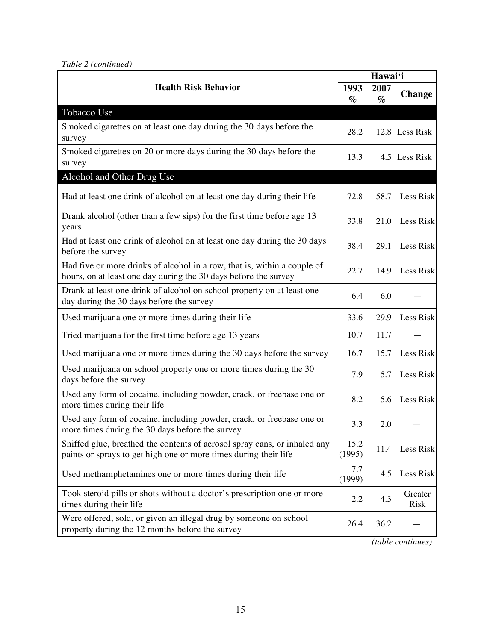|  | Table 2 (continued) |
|--|---------------------|
|--|---------------------|

|                                                                                                                                               |                | Hawai'i      |                 |
|-----------------------------------------------------------------------------------------------------------------------------------------------|----------------|--------------|-----------------|
| <b>Health Risk Behavior</b>                                                                                                                   | 1993<br>$\%$   | 2007<br>$\%$ | <b>Change</b>   |
| Tobacco Use                                                                                                                                   |                |              |                 |
| Smoked cigarettes on at least one day during the 30 days before the<br>survey                                                                 | 28.2           |              | 12.8 Less Risk  |
| Smoked cigarettes on 20 or more days during the 30 days before the<br>survey                                                                  | 13.3           |              | 4.5 Less Risk   |
| Alcohol and Other Drug Use                                                                                                                    |                |              |                 |
| Had at least one drink of alcohol on at least one day during their life                                                                       | 72.8           | 58.7         | Less Risk       |
| Drank alcohol (other than a few sips) for the first time before age 13<br>years                                                               | 33.8           | 21.0         | Less Risk       |
| Had at least one drink of alcohol on at least one day during the 30 days<br>before the survey                                                 | 38.4           | 29.1         | Less Risk       |
| Had five or more drinks of alcohol in a row, that is, within a couple of<br>hours, on at least one day during the 30 days before the survey   | 22.7           | 14.9         | Less Risk       |
| Drank at least one drink of alcohol on school property on at least one<br>day during the 30 days before the survey                            | 6.4            | 6.0          |                 |
| Used marijuana one or more times during their life                                                                                            | 33.6           | 29.9         | Less Risk       |
| Tried marijuana for the first time before age 13 years                                                                                        | 10.7           | 11.7         |                 |
| Used marijuana one or more times during the 30 days before the survey                                                                         | 16.7           | 15.7         | Less Risk       |
| Used marijuana on school property one or more times during the 30<br>days before the survey                                                   | 7.9            | 5.7          | Less Risk       |
| Used any form of cocaine, including powder, crack, or freebase one or<br>more times during their life                                         | 8.2            | 5.6          | Less Risk       |
| Used any form of cocaine, including powder, crack, or freebase one or<br>more times during the 30 days before the survey                      | 3.3            | 2.0          |                 |
| Sniffed glue, breathed the contents of aerosol spray cans, or inhaled any<br>paints or sprays to get high one or more times during their life | 15.2<br>(1995) | 11.4         | Less Risk       |
| Used methamphetamines one or more times during their life                                                                                     | 7.7<br>(1999)  | 4.5          | Less Risk       |
| Took steroid pills or shots without a doctor's prescription one or more<br>times during their life                                            | 2.2            | 4.3          | Greater<br>Risk |
| Were offered, sold, or given an illegal drug by someone on school<br>property during the 12 months before the survey                          | 26.4           | 36.2         |                 |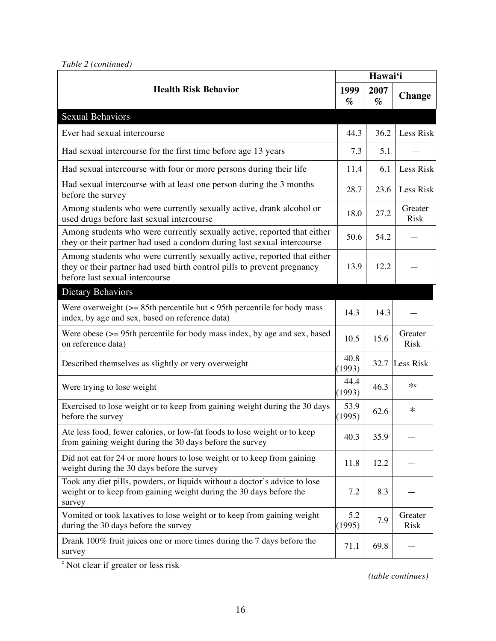|  | Table 2 (continued) |
|--|---------------------|
|--|---------------------|

|                                                                                                                                                                                      |                | Hawai'i      |                        |
|--------------------------------------------------------------------------------------------------------------------------------------------------------------------------------------|----------------|--------------|------------------------|
| <b>Health Risk Behavior</b>                                                                                                                                                          |                | 2007<br>$\%$ | <b>Change</b>          |
| <b>Sexual Behaviors</b>                                                                                                                                                              |                |              |                        |
| Ever had sexual intercourse                                                                                                                                                          | 44.3           | 36.2         | Less Risk              |
| Had sexual intercourse for the first time before age 13 years                                                                                                                        | 7.3            | 5.1          |                        |
| Had sexual intercourse with four or more persons during their life                                                                                                                   | 11.4           | 6.1          | Less Risk              |
| Had sexual intercourse with at least one person during the 3 months<br>before the survey                                                                                             | 28.7           | 23.6         | Less Risk              |
| Among students who were currently sexually active, drank alcohol or<br>used drugs before last sexual intercourse                                                                     | 18.0           | 27.2         | Greater<br><b>Risk</b> |
| Among students who were currently sexually active, reported that either<br>they or their partner had used a condom during last sexual intercourse                                    | 50.6           | 54.2         |                        |
| Among students who were currently sexually active, reported that either<br>they or their partner had used birth control pills to prevent pregnancy<br>before last sexual intercourse | 13.9           | 12.2         |                        |
| <b>Dietary Behaviors</b>                                                                                                                                                             |                |              |                        |
| Were overweight $(>= 85$ th percentile but < 95th percentile for body mass<br>index, by age and sex, based on reference data)                                                        | 14.3           | 14.3         |                        |
| Were obese $(>= 95$ th percentile for body mass index, by age and sex, based<br>on reference data)                                                                                   | 10.5           | 15.6         | Greater<br>Risk        |
| Described themselves as slightly or very overweight                                                                                                                                  | 40.8<br>(1993) | 32.7         | Less Risk              |
| Were trying to lose weight                                                                                                                                                           | 44.4<br>(1993) | 46.3         | $*c$                   |
| Exercised to lose weight or to keep from gaining weight during the 30 days<br>before the survey                                                                                      | 53.9<br>(1995) | 62.6         | ∗                      |
| Ate less food, fewer calories, or low-fat foods to lose weight or to keep<br>from gaining weight during the 30 days before the survey                                                | 40.3           | 35.9         |                        |
| Did not eat for 24 or more hours to lose weight or to keep from gaining<br>weight during the 30 days before the survey                                                               | 11.8           | 12.2         |                        |
| Took any diet pills, powders, or liquids without a doctor's advice to lose<br>weight or to keep from gaining weight during the 30 days before the<br>survey                          | 7.2            | 8.3          |                        |
| Vomited or took laxatives to lose weight or to keep from gaining weight<br>during the 30 days before the survey                                                                      | 5.2<br>(1995)  | 7.9          | Greater<br><b>Risk</b> |
| Drank 100% fruit juices one or more times during the 7 days before the<br>survey                                                                                                     | 71.1           | 69.8         |                        |

<sup>c</sup> Not clear if greater or less risk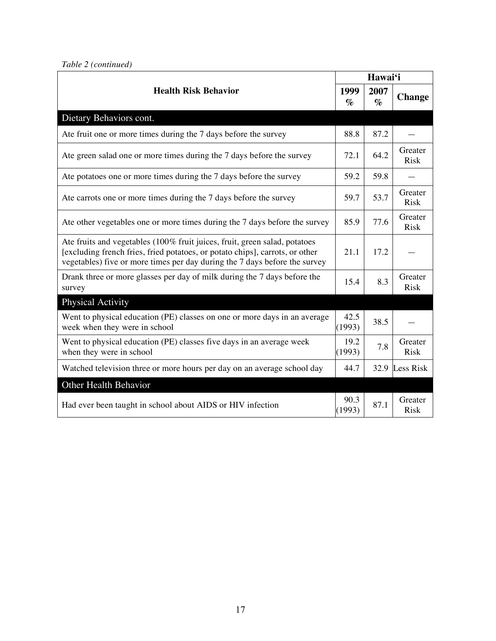| <b>Health Risk Behavior</b>                                                                                                                                                                                                              |                | Hawai'i      |                        |  |
|------------------------------------------------------------------------------------------------------------------------------------------------------------------------------------------------------------------------------------------|----------------|--------------|------------------------|--|
|                                                                                                                                                                                                                                          |                | 2007<br>$\%$ | <b>Change</b>          |  |
| Dietary Behaviors cont.                                                                                                                                                                                                                  |                |              |                        |  |
| Ate fruit one or more times during the 7 days before the survey                                                                                                                                                                          | 88.8           | 87.2         |                        |  |
| Ate green salad one or more times during the 7 days before the survey                                                                                                                                                                    | 72.1           | 64.2         | Greater<br><b>Risk</b> |  |
| Ate potatoes one or more times during the 7 days before the survey                                                                                                                                                                       | 59.2           | 59.8         |                        |  |
| Ate carrots one or more times during the 7 days before the survey                                                                                                                                                                        | 59.7           | 53.7         | Greater<br>Risk        |  |
| Ate other vegetables one or more times during the 7 days before the survey                                                                                                                                                               | 85.9           | 77.6         | Greater<br><b>Risk</b> |  |
| Ate fruits and vegetables (100% fruit juices, fruit, green salad, potatoes<br>[excluding french fries, fried potatoes, or potato chips], carrots, or other<br>vegetables) five or more times per day during the 7 days before the survey | 21.1           | 17.2         |                        |  |
| Drank three or more glasses per day of milk during the 7 days before the<br>survey                                                                                                                                                       | 15.4           | 8.3          | Greater<br>Risk        |  |
| <b>Physical Activity</b>                                                                                                                                                                                                                 |                |              |                        |  |
| Went to physical education (PE) classes on one or more days in an average<br>week when they were in school                                                                                                                               | 42.5<br>(1993) | 38.5         |                        |  |
| Went to physical education (PE) classes five days in an average week<br>when they were in school                                                                                                                                         | 19.2<br>(1993) | 7.8          | Greater<br><b>Risk</b> |  |
| Watched television three or more hours per day on an average school day                                                                                                                                                                  | 44.7           | 32.9         | Less Risk              |  |
| Other Health Behavior                                                                                                                                                                                                                    |                |              |                        |  |
| Had ever been taught in school about AIDS or HIV infection                                                                                                                                                                               | 90.3<br>(1993) | 87.1         | Greater<br>Risk        |  |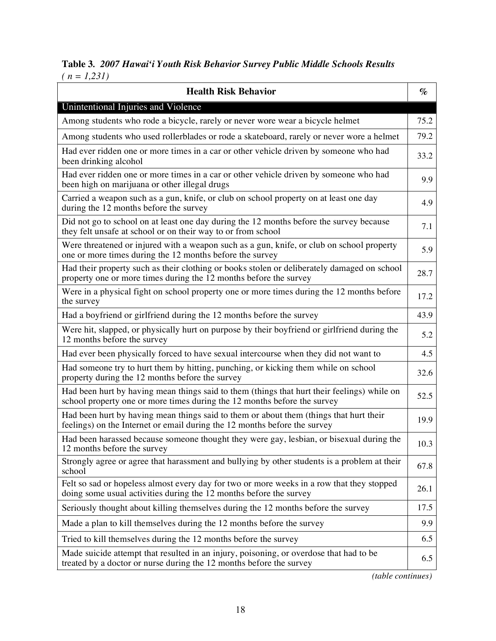# **Table 3***. 2007 Hawai'i Youth Risk Behavior Survey Public Middle Schools Results ( n = 1,231)*

| <b>Health Risk Behavior</b>                                                                                                                                             | $\%$ |
|-------------------------------------------------------------------------------------------------------------------------------------------------------------------------|------|
| Unintentional Injuries and Violence                                                                                                                                     |      |
| Among students who rode a bicycle, rarely or never wore wear a bicycle helmet                                                                                           | 75.2 |
| Among students who used rollerblades or rode a skateboard, rarely or never wore a helmet                                                                                | 79.2 |
| Had ever ridden one or more times in a car or other vehicle driven by someone who had<br>been drinking alcohol                                                          | 33.2 |
| Had ever ridden one or more times in a car or other vehicle driven by someone who had<br>been high on marijuana or other illegal drugs                                  | 9.9  |
| Carried a weapon such as a gun, knife, or club on school property on at least one day<br>during the 12 months before the survey                                         | 4.9  |
| Did not go to school on at least one day during the 12 months before the survey because<br>they felt unsafe at school or on their way to or from school                 | 7.1  |
| Were threatened or injured with a weapon such as a gun, knife, or club on school property<br>one or more times during the 12 months before the survey                   | 5.9  |
| Had their property such as their clothing or books stolen or deliberately damaged on school<br>property one or more times during the 12 months before the survey        | 28.7 |
| Were in a physical fight on school property one or more times during the 12 months before<br>the survey                                                                 | 17.2 |
| Had a boyfriend or girlfriend during the 12 months before the survey                                                                                                    | 43.9 |
| Were hit, slapped, or physically hurt on purpose by their boyfriend or girlfriend during the<br>12 months before the survey                                             | 5.2  |
| Had ever been physically forced to have sexual intercourse when they did not want to                                                                                    | 4.5  |
| Had someone try to hurt them by hitting, punching, or kicking them while on school<br>property during the 12 months before the survey                                   | 32.6 |
| Had been hurt by having mean things said to them (things that hurt their feelings) while on<br>school property one or more times during the 12 months before the survey | 52.5 |
| Had been hurt by having mean things said to them or about them (things that hurt their<br>feelings) on the Internet or email during the 12 months before the survey     | 19.9 |
| Had been harassed because someone thought they were gay, lesbian, or bisexual during the<br>12 months before the survey                                                 | 10.3 |
| Strongly agree or agree that harassment and bullying by other students is a problem at their<br>school                                                                  | 67.8 |
| Felt so sad or hopeless almost every day for two or more weeks in a row that they stopped<br>doing some usual activities during the 12 months before the survey         | 26.1 |
| Seriously thought about killing themselves during the 12 months before the survey                                                                                       | 17.5 |
| Made a plan to kill themselves during the 12 months before the survey                                                                                                   | 9.9  |
| Tried to kill themselves during the 12 months before the survey                                                                                                         | 6.5  |
| Made suicide attempt that resulted in an injury, poisoning, or overdose that had to be<br>treated by a doctor or nurse during the 12 months before the survey           | 6.5  |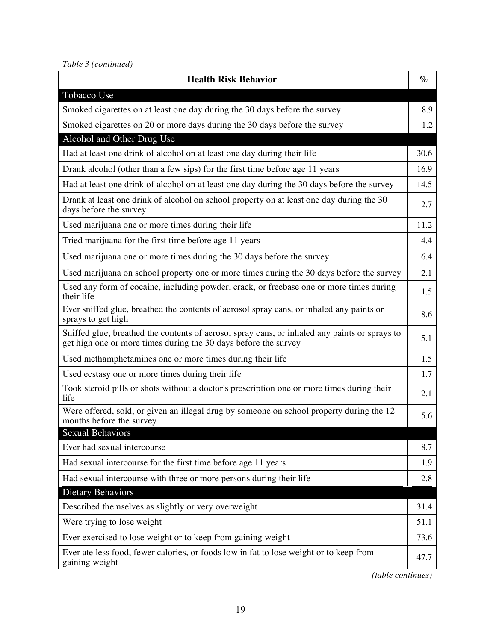| <b>Health Risk Behavior</b>                                                                                                                                      | $\%$ |
|------------------------------------------------------------------------------------------------------------------------------------------------------------------|------|
| Tobacco Use                                                                                                                                                      |      |
| Smoked cigarettes on at least one day during the 30 days before the survey                                                                                       | 8.9  |
| Smoked cigarettes on 20 or more days during the 30 days before the survey                                                                                        | 1.2  |
| Alcohol and Other Drug Use                                                                                                                                       |      |
| Had at least one drink of alcohol on at least one day during their life                                                                                          | 30.6 |
| Drank alcohol (other than a few sips) for the first time before age 11 years                                                                                     | 16.9 |
| Had at least one drink of alcohol on at least one day during the 30 days before the survey                                                                       | 14.5 |
| Drank at least one drink of alcohol on school property on at least one day during the 30<br>days before the survey                                               | 2.7  |
| Used marijuana one or more times during their life                                                                                                               | 11.2 |
| Tried marijuana for the first time before age 11 years                                                                                                           | 4.4  |
| Used marijuana one or more times during the 30 days before the survey                                                                                            | 6.4  |
| Used marijuana on school property one or more times during the 30 days before the survey                                                                         | 2.1  |
| Used any form of cocaine, including powder, crack, or freebase one or more times during<br>their life                                                            | 1.5  |
| Ever sniffed glue, breathed the contents of aerosol spray cans, or inhaled any paints or<br>sprays to get high                                                   | 8.6  |
| Sniffed glue, breathed the contents of aerosol spray cans, or inhaled any paints or sprays to<br>get high one or more times during the 30 days before the survey | 5.1  |
| Used methamphetamines one or more times during their life                                                                                                        | 1.5  |
| Used ecstasy one or more times during their life                                                                                                                 | 1.7  |
| Took steroid pills or shots without a doctor's prescription one or more times during their<br>life                                                               | 2.1  |
| Were offered, sold, or given an illegal drug by someone on school property during the 12<br>months before the survey                                             | 5.6  |
| Sexual Behaviors                                                                                                                                                 |      |
| Ever had sexual intercourse                                                                                                                                      | 8.7  |
| Had sexual intercourse for the first time before age 11 years                                                                                                    | 1.9  |
| Had sexual intercourse with three or more persons during their life                                                                                              | 2.8  |
| <b>Dietary Behaviors</b>                                                                                                                                         |      |
| Described themselves as slightly or very overweight                                                                                                              | 31.4 |
| Were trying to lose weight                                                                                                                                       | 51.1 |
| Ever exercised to lose weight or to keep from gaining weight                                                                                                     | 73.6 |
| Ever ate less food, fewer calories, or foods low in fat to lose weight or to keep from<br>gaining weight                                                         | 47.7 |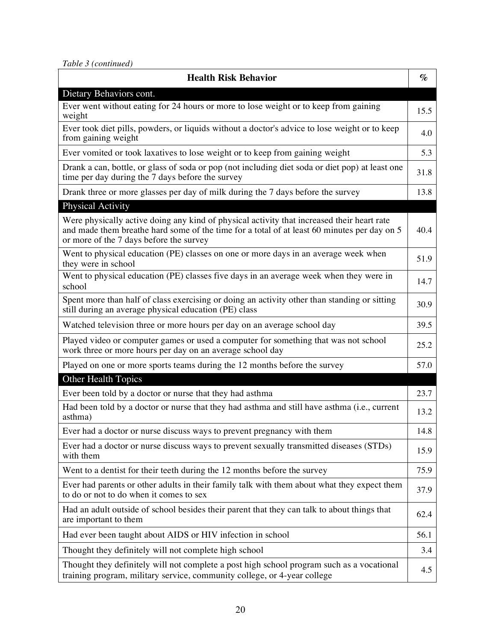*Table 3 (continued)*

| <b>Health Risk Behavior</b>                                                                                                                                                                                                          | $\%$ |
|--------------------------------------------------------------------------------------------------------------------------------------------------------------------------------------------------------------------------------------|------|
| Dietary Behaviors cont.                                                                                                                                                                                                              |      |
| Ever went without eating for 24 hours or more to lose weight or to keep from gaining<br>weight                                                                                                                                       | 15.5 |
| Ever took diet pills, powders, or liquids without a doctor's advice to lose weight or to keep<br>from gaining weight                                                                                                                 | 4.0  |
| Ever vomited or took laxatives to lose weight or to keep from gaining weight                                                                                                                                                         | 5.3  |
| Drank a can, bottle, or glass of soda or pop (not including diet soda or diet pop) at least one<br>time per day during the 7 days before the survey                                                                                  | 31.8 |
| Drank three or more glasses per day of milk during the 7 days before the survey                                                                                                                                                      | 13.8 |
| <b>Physical Activity</b>                                                                                                                                                                                                             |      |
| Were physically active doing any kind of physical activity that increased their heart rate<br>and made them breathe hard some of the time for a total of at least 60 minutes per day on 5<br>or more of the 7 days before the survey | 40.4 |
| Went to physical education (PE) classes on one or more days in an average week when<br>they were in school                                                                                                                           | 51.9 |
| Went to physical education (PE) classes five days in an average week when they were in<br>school                                                                                                                                     | 14.7 |
| Spent more than half of class exercising or doing an activity other than standing or sitting<br>still during an average physical education (PE) class                                                                                | 30.9 |
| Watched television three or more hours per day on an average school day                                                                                                                                                              | 39.5 |
| Played video or computer games or used a computer for something that was not school<br>work three or more hours per day on an average school day                                                                                     | 25.2 |
| Played on one or more sports teams during the 12 months before the survey                                                                                                                                                            | 57.0 |
| Other Health Topics                                                                                                                                                                                                                  |      |
| Ever been told by a doctor or nurse that they had asthma                                                                                                                                                                             | 23.7 |
| Had been told by a doctor or nurse that they had asthma and still have asthma (i.e., current<br>asthma)                                                                                                                              | 13.2 |
| Ever had a doctor or nurse discuss ways to prevent pregnancy with them                                                                                                                                                               | 14.8 |
| Ever had a doctor or nurse discuss ways to prevent sexually transmitted diseases (STDs)<br>with them                                                                                                                                 | 15.9 |
| Went to a dentist for their teeth during the 12 months before the survey                                                                                                                                                             | 75.9 |
| Ever had parents or other adults in their family talk with them about what they expect them<br>to do or not to do when it comes to sex                                                                                               | 37.9 |
| Had an adult outside of school besides their parent that they can talk to about things that<br>are important to them                                                                                                                 | 62.4 |
| Had ever been taught about AIDS or HIV infection in school                                                                                                                                                                           | 56.1 |
| Thought they definitely will not complete high school                                                                                                                                                                                | 3.4  |
| Thought they definitely will not complete a post high school program such as a vocational<br>training program, military service, community college, or 4-year college                                                                | 4.5  |